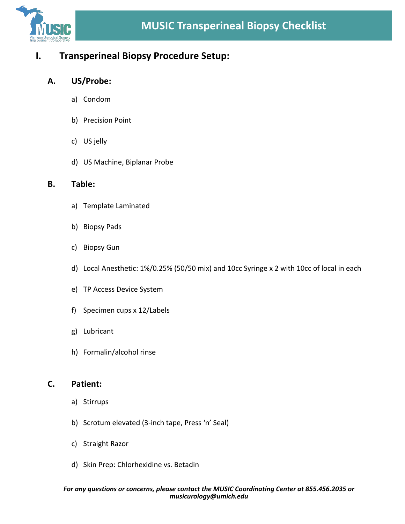

## **I. Transperineal Biopsy Procedure Setup:**

### **A. US/Probe:**

- a) Condom
- b) Precision Point
- c) US jelly
- d) US Machine, Biplanar Probe

#### **B. Table:**

- a) Template Laminated
- b) Biopsy Pads
- c) Biopsy Gun
- d) Local Anesthetic: 1%/0.25% (50/50 mix) and 10cc Syringe x 2 with 10cc of local in each
- e) TP Access Device System
- f) Specimen cups x 12/Labels
- g) Lubricant
- h) Formalin/alcohol rinse

### **C. Patient:**

- a) Stirrups
- b) Scrotum elevated (3-inch tape, Press 'n' Seal)
- c) Straight Razor
- d) Skin Prep: Chlorhexidine vs. Betadin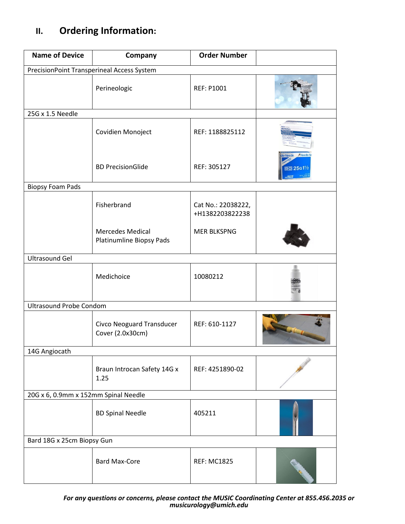# **II. Ordering Information:**

| <b>Name of Device</b>                      | Company                                              | <b>Order Number</b>                   |           |
|--------------------------------------------|------------------------------------------------------|---------------------------------------|-----------|
| PrecisionPoint Transperineal Access System |                                                      |                                       |           |
|                                            | Perineologic                                         | <b>REF: P1001</b>                     |           |
| 25G x 1.5 Needle                           |                                                      |                                       |           |
|                                            | Covidien Monoject                                    | REF: 1188825112                       |           |
|                                            | <b>BD PrecisionGlide</b>                             | REF: 305127                           | क्का 25G1 |
| <b>Biopsy Foam Pads</b>                    |                                                      |                                       |           |
|                                            | Fisherbrand                                          | Cat No.: 22038222,<br>+H1382203822238 |           |
|                                            | <b>Mercedes Medical</b><br>Platinumline Biopsy Pads  | <b>MER BLKSPNG</b>                    |           |
| <b>Ultrasound Gel</b>                      |                                                      |                                       |           |
|                                            | Medichoice                                           | 10080212                              |           |
| <b>Ultrasound Probe Condom</b>             |                                                      |                                       |           |
|                                            | <b>Civco Neoguard Transducer</b><br>Cover (2.0x30cm) | REF: 610-1127                         |           |
| 14G Angiocath                              |                                                      |                                       |           |
|                                            | Braun Introcan Safety 14G x<br>1.25                  | REF: 4251890-02                       |           |
| 20G x 6, 0.9mm x 152mm Spinal Needle       |                                                      |                                       |           |
|                                            | <b>BD Spinal Needle</b>                              | 405211                                |           |
| Bard 18G x 25cm Biopsy Gun                 |                                                      |                                       |           |
|                                            | <b>Bard Max-Core</b>                                 | <b>REF: MC1825</b>                    |           |

*For any questions or concerns, please contact the MUSIC Coordinating Center at 855.456.2035 or [musicurology@umich.edu](mailto:musicurology@umich.edu)*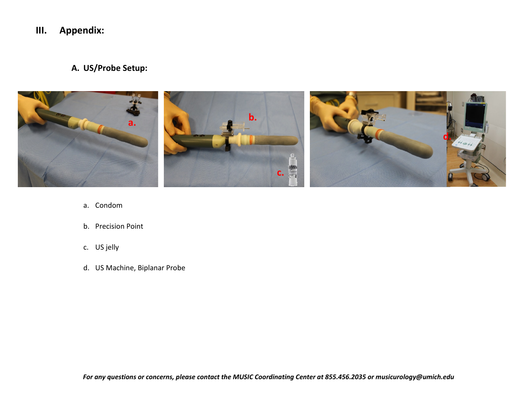## **III. Appendix:**

**A. US/Probe Setup:**



- a. Condom
- b. Precision Point
- c. US jelly
- d. US Machine, Biplanar Probe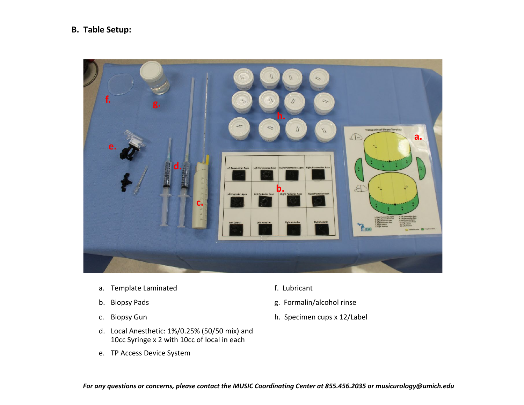### **B. Table Setup:**



- a. Template Laminated **f.** Lubricant
- 
- 
- d. Local Anesthetic: 1%/0.25% (50/50 mix) and 10cc Syringe x 2 with 10cc of local in each
- e. TP Access Device System
- 
- b. Biopsy Pads and The Community of the Biopsy Pads and The Community of the Biopsy Pads and The Community of the Biopsy Pads and The Community of the Biopsy Pads and The Community of the Community of the Community of the
- c. Biopsy Gun h. Specimen cups x 12/Label